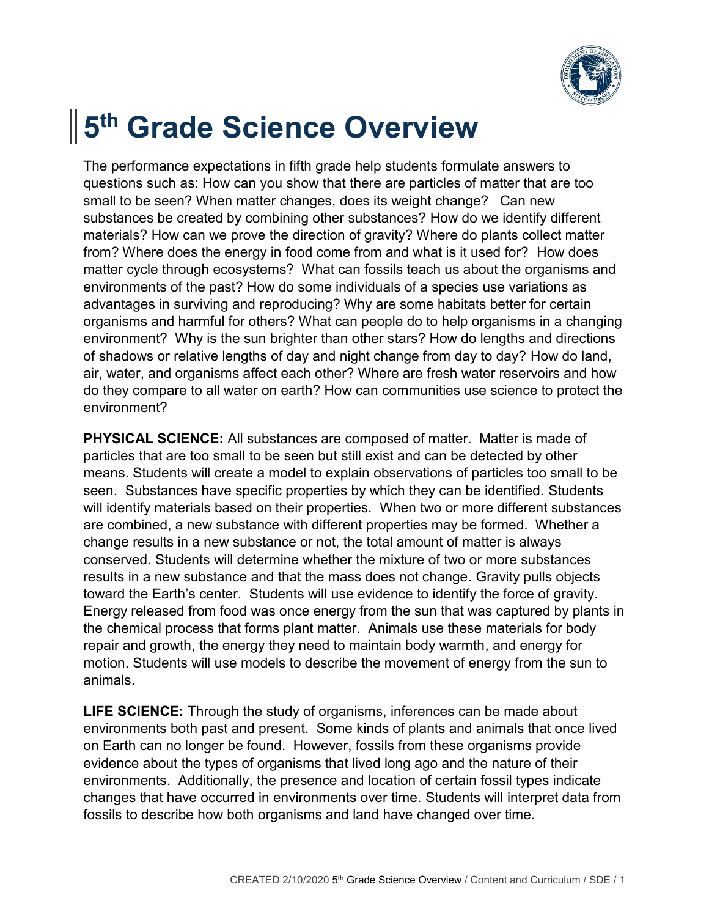

## **5 th Grade Science Overview**

The performance expectations in fifth grade help students formulate answers to questions such as: How can you show that there are particles of matter that are too small to be seen? When matter changes, does its weight change? Can new substances be created by combining other substances? How do we identify different materials? How can we prove the direction of gravity? Where do plants collect matter from? Where does the energy in food come from and what is it used for? How does matter cycle through ecosystems? What can fossils teach us about the organisms and environments of the past? How do some individuals of a species use variations as advantages in surviving and reproducing? Why are some habitats better for certain organisms and harmful for others? What can people do to help organisms in a changing environment? Why is the sun brighter than other stars? How do lengths and directions of shadows or relative lengths of day and night change from day to day? How do land, air, water, and organisms affect each other? Where are fresh water reservoirs and how do they compare to all water on earth? How can communities use science to protect the environment?

**PHYSICAL SCIENCE:** All substances are composed of matter. Matter is made of particles that are too small to be seen but still exist and can be detected by other means. Students will create a model to explain observations of particles too small to be seen. Substances have specific properties by which they can be identified. Students will identify materials based on their properties. When two or more different substances are combined, a new substance with different properties may be formed. Whether a change results in a new substance or not, the total amount of matter is always conserved. Students will determine whether the mixture of two or more substances results in a new substance and that the mass does not change. Gravity pulls objects toward the Earth's center. Students will use evidence to identify the force of gravity. Energy released from food was once energy from the sun that was captured by plants in the chemical process that forms plant matter. Animals use these materials for body repair and growth, the energy they need to maintain body warmth, and energy for motion. Students will use models to describe the movement of energy from the sun to animals.

**LIFE SCIENCE:** Through the study of organisms, inferences can be made about environments both past and present. Some kinds of plants and animals that once lived on Earth can no longer be found. However, fossils from these organisms provide evidence about the types of organisms that lived long ago and the nature of their environments. Additionally, the presence and location of certain fossil types indicate changes that have occurred in environments over time. Students will interpret data from fossils to describe how both organisms and land have changed over time.